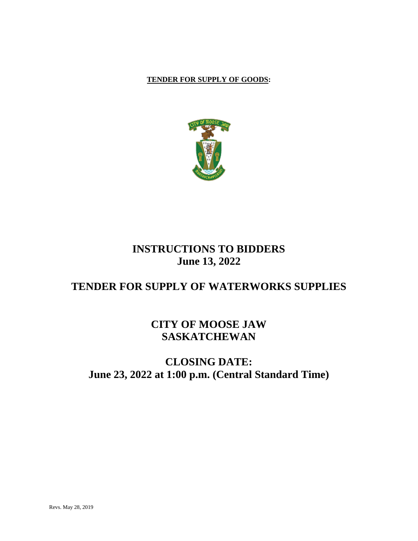## **TENDER FOR SUPPLY OF GOODS:**



# **INSTRUCTIONS TO BIDDERS June 13, 2022**

# **TENDER FOR SUPPLY OF WATERWORKS SUPPLIES**

# **CITY OF MOOSE JAW SASKATCHEWAN**

# **CLOSING DATE: June 23, 2022 at 1:00 p.m. (Central Standard Time)**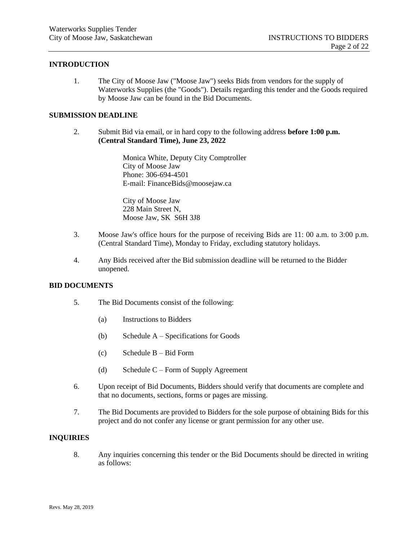#### **INTRODUCTION**

1. The City of Moose Jaw ("Moose Jaw") seeks Bids from vendors for the supply of Waterworks Supplies (the "Goods"). Details regarding this tender and the Goods required by Moose Jaw can be found in the Bid Documents.

#### **SUBMISSION DEADLINE**

2. Submit Bid via email, or in hard copy to the following address **before 1:00 p.m. (Central Standard Time), June 23, 2022**

> Monica White, Deputy City Comptroller City of Moose Jaw Phone: 306-694-4501 E-mail: FinanceBids@moosejaw.ca

City of Moose Jaw 228 Main Street N, Moose Jaw, SK S6H 3J8

- 3. Moose Jaw's office hours for the purpose of receiving Bids are 11: 00 a.m. to 3:00 p.m. (Central Standard Time), Monday to Friday, excluding statutory holidays.
- 4. Any Bids received after the Bid submission deadline will be returned to the Bidder unopened.

#### **BID DOCUMENTS**

- 5. The Bid Documents consist of the following:
	- (a) Instructions to Bidders
	- (b) Schedule A Specifications for Goods
	- (c) Schedule B Bid Form
	- (d) Schedule  $C$  Form of Supply Agreement
- 6. Upon receipt of Bid Documents, Bidders should verify that documents are complete and that no documents, sections, forms or pages are missing.
- 7. The Bid Documents are provided to Bidders for the sole purpose of obtaining Bids for this project and do not confer any license or grant permission for any other use.

#### **INQUIRIES**

8. Any inquiries concerning this tender or the Bid Documents should be directed in writing as follows: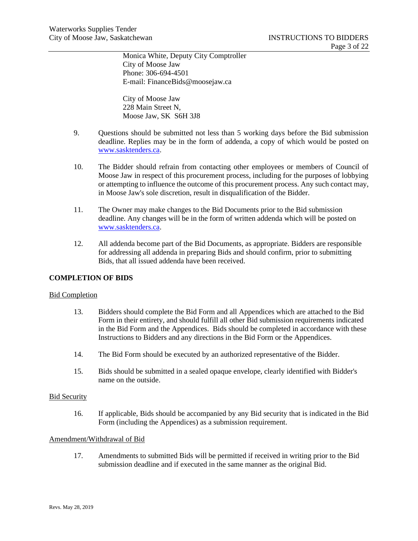Monica White, Deputy City Comptroller City of Moose Jaw Phone: 306-694-4501 E-mail: FinanceBids@moosejaw.ca

City of Moose Jaw 228 Main Street N, Moose Jaw, SK S6H 3J8

- 9. Questions should be submitted not less than 5 working days before the Bid submission deadline. Replies may be in the form of addenda, a copy of which would be posted on [www.sasktenders.ca.](http://www.sasktenders.ca/)
- 10. The Bidder should refrain from contacting other employees or members of Council of Moose Jaw in respect of this procurement process, including for the purposes of lobbying or attempting to influence the outcome of this procurement process. Any such contact may, in Moose Jaw's sole discretion, result in disqualification of the Bidder.
- 11. The Owner may make changes to the Bid Documents prior to the Bid submission deadline. Any changes will be in the form of written addenda which will be posted on [www.sasktenders.ca.](http://www.sasktenders.ca/)
- 12. All addenda become part of the Bid Documents, as appropriate. Bidders are responsible for addressing all addenda in preparing Bids and should confirm, prior to submitting Bids, that all issued addenda have been received.

### **COMPLETION OF BIDS**

#### Bid Completion

- 13. Bidders should complete the Bid Form and all Appendices which are attached to the Bid Form in their entirety, and should fulfill all other Bid submission requirements indicated in the Bid Form and the Appendices. Bids should be completed in accordance with these Instructions to Bidders and any directions in the Bid Form or the Appendices.
- 14. The Bid Form should be executed by an authorized representative of the Bidder.
- 15. Bids should be submitted in a sealed opaque envelope, clearly identified with Bidder's name on the outside.

#### **Bid Security**

16. If applicable, Bids should be accompanied by any Bid security that is indicated in the Bid Form (including the Appendices) as a submission requirement.

#### Amendment/Withdrawal of Bid

17. Amendments to submitted Bids will be permitted if received in writing prior to the Bid submission deadline and if executed in the same manner as the original Bid.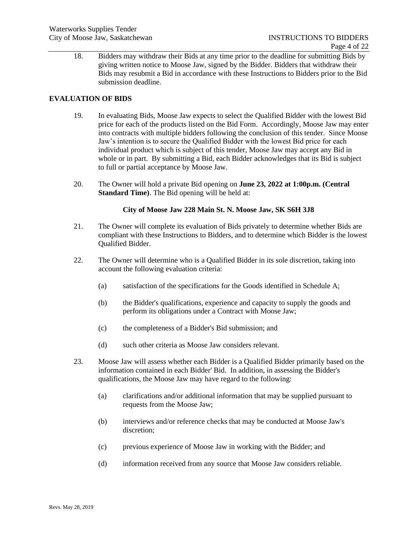18. Bidders may withdraw their Bids at any time prior to the deadline for submitting Bids by giving written notice to Moose Jaw, signed by the Bidder. Bidders that withdraw their Bids may resubmit a Bid in accordance with these Instructions to Bidders prior to the Bid submission deadline.

### **EVALUATION OF BIDS**

- 19. In evaluating Bids, Moose Jaw expects to select the Qualified Bidder with the lowest Bid price for each of the products listed on the Bid Form. Accordingly, Moose Jaw may enter into contracts with multiple bidders following the conclusion of this tender. Since Moose Jaw's intention is to secure the Qualified Bidder with the lowest Bid price for each individual product which is subject of this tender, Moose Jaw may accept any Bid in whole or in part. By submitting a Bid, each Bidder acknowledges that its Bid is subject to full or partial acceptance by Moose Jaw.
- 20. The Owner will hold a private Bid opening on **June 23, 2022 at 1:00p.m. (Central Standard Time)**. The Bid opening will be held at:

#### **City of Moose Jaw 228 Main St. N. Moose Jaw, SK S6H 3J8**

- 21. The Owner will complete its evaluation of Bids privately to determine whether Bids are compliant with these Instructions to Bidders, and to determine which Bidder is the lowest Qualified Bidder.
- 22. The Owner will determine who is a Qualified Bidder in its sole discretion, taking into account the following evaluation criteria:
	- (a) satisfaction of the specifications for the Goods identified in Schedule A;
	- (b) the Bidder's qualifications, experience and capacity to supply the goods and perform its obligations under a Contract with Moose Jaw;
	- (c) the completeness of a Bidder's Bid submission; and
	- (d) such other criteria as Moose Jaw considers relevant.
- 23. Moose Jaw will assess whether each Bidder is a Qualified Bidder primarily based on the information contained in each Bidder' Bid. In addition, in assessing the Bidder's qualifications, the Moose Jaw may have regard to the following:
	- (a) clarifications and/or additional information that may be supplied pursuant to requests from the Moose Jaw;
	- (b) interviews and/or reference checks that may be conducted at Moose Jaw's discretion;
	- (c) previous experience of Moose Jaw in working with the Bidder; and
	- (d) information received from any source that Moose Jaw considers reliable.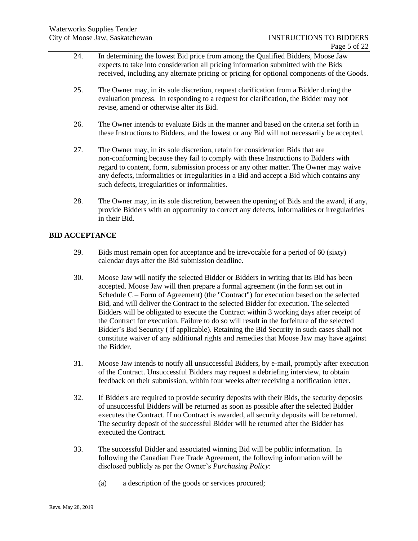- 24. In determining the lowest Bid price from among the Qualified Bidders, Moose Jaw expects to take into consideration all pricing information submitted with the Bids received, including any alternate pricing or pricing for optional components of the Goods.
- 25. The Owner may, in its sole discretion, request clarification from a Bidder during the evaluation process. In responding to a request for clarification, the Bidder may not revise, amend or otherwise alter its Bid.
- 26. The Owner intends to evaluate Bids in the manner and based on the criteria set forth in these Instructions to Bidders, and the lowest or any Bid will not necessarily be accepted.
- 27. The Owner may, in its sole discretion, retain for consideration Bids that are non-conforming because they fail to comply with these Instructions to Bidders with regard to content, form, submission process or any other matter. The Owner may waive any defects, informalities or irregularities in a Bid and accept a Bid which contains any such defects, irregularities or informalities.
- 28. The Owner may, in its sole discretion, between the opening of Bids and the award, if any, provide Bidders with an opportunity to correct any defects, informalities or irregularities in their Bid.

## **BID ACCEPTANCE**

- 29. Bids must remain open for acceptance and be irrevocable for a period of 60 (sixty) calendar days after the Bid submission deadline.
- 30. Moose Jaw will notify the selected Bidder or Bidders in writing that its Bid has been accepted. Moose Jaw will then prepare a formal agreement (in the form set out in Schedule C – Form of Agreement) (the "Contract") for execution based on the selected Bid, and will deliver the Contract to the selected Bidder for execution. The selected Bidders will be obligated to execute the Contract within 3 working days after receipt of the Contract for execution. Failure to do so will result in the forfeiture of the selected Bidder's Bid Security ( if applicable). Retaining the Bid Security in such cases shall not constitute waiver of any additional rights and remedies that Moose Jaw may have against the Bidder.
- 31. Moose Jaw intends to notify all unsuccessful Bidders, by e-mail, promptly after execution of the Contract. Unsuccessful Bidders may request a debriefing interview, to obtain feedback on their submission, within four weeks after receiving a notification letter.
- 32. If Bidders are required to provide security deposits with their Bids, the security deposits of unsuccessful Bidders will be returned as soon as possible after the selected Bidder executes the Contract. If no Contract is awarded, all security deposits will be returned. The security deposit of the successful Bidder will be returned after the Bidder has executed the Contract.
- 33. The successful Bidder and associated winning Bid will be public information. In following the Canadian Free Trade Agreement, the following information will be disclosed publicly as per the Owner's *Purchasing Policy*:
	- (a) a description of the goods or services procured;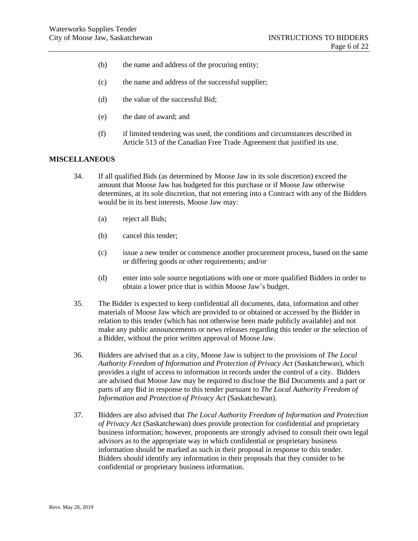- (b) the name and address of the procuring entity;
- (c) the name and address of the successful supplier;
- (d) the value of the successful Bid;
- (e) the date of award; and
- (f) if limited tendering was used, the conditions and circumstances described in Article 513 of the Canadian Free Trade Agreement that justified its use.

#### **MISCELLANEOUS**

- 34. If all qualified Bids (as determined by Moose Jaw in its sole discretion) exceed the amount that Moose Jaw has budgeted for this purchase or if Moose Jaw otherwise determines, at its sole discretion, that not entering into a Contract with any of the Bidders would be in its best interests, Moose Jaw may:
	- (a) reject all Bids;
	- (b) cancel this tender;
	- (c) issue a new tender or commence another procurement process, based on the same or differing goods or other requirements; and/or
	- (d) enter into sole source negotiations with one or more qualified Bidders in order to obtain a lower price that is within Moose Jaw's budget.
- 35. The Bidder is expected to keep confidential all documents, data, information and other materials of Moose Jaw which are provided to or obtained or accessed by the Bidder in relation to this tender (which has not otherwise been made publicly available) and not make any public announcements or news releases regarding this tender or the selection of a Bidder, without the prior written approval of Moose Jaw.
- 36. Bidders are advised that as a city, Moose Jaw is subject to the provisions of *The Local Authority Freedom of Information and Protection of Privacy Act* (Saskatchewan), which provides a right of access to information in records under the control of a city. Bidders are advised that Moose Jaw may be required to disclose the Bid Documents and a part or parts of any Bid in response to this tender pursuant to *The Local Authority Freedom of Information and Protection of Privacy Act* (Saskatchewan).
- 37. Bidders are also advised that *The Local Authority Freedom of Information and Protection of Privacy Act* (Saskatchewan) does provide protection for confidential and proprietary business information; however, proponents are strongly advised to consult their own legal advisors as to the appropriate way in which confidential or proprietary business information should be marked as such in their proposal in response to this tender. Bidders should identify any information in their proposals that they consider to be confidential or proprietary business information.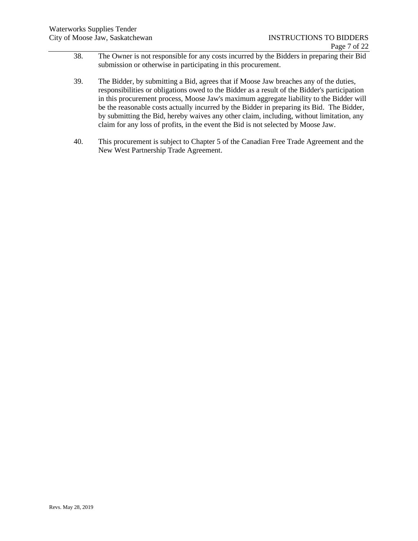- 38. The Owner is not responsible for any costs incurred by the Bidders in preparing their Bid submission or otherwise in participating in this procurement.
- 39. The Bidder, by submitting a Bid, agrees that if Moose Jaw breaches any of the duties, responsibilities or obligations owed to the Bidder as a result of the Bidder's participation in this procurement process, Moose Jaw's maximum aggregate liability to the Bidder will be the reasonable costs actually incurred by the Bidder in preparing its Bid. The Bidder, by submitting the Bid, hereby waives any other claim, including, without limitation, any claim for any loss of profits, in the event the Bid is not selected by Moose Jaw.
- 40. This procurement is subject to Chapter 5 of the Canadian Free Trade Agreement and the New West Partnership Trade Agreement.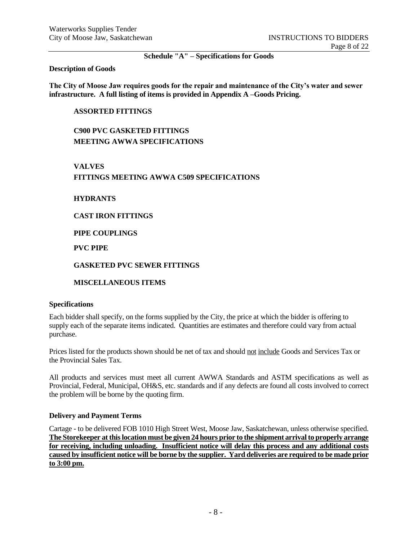**Schedule "A" – Specifications for Goods**

#### **Description of Goods**

**The City of Moose Jaw requires goods for the repair and maintenance of the City's water and sewer infrastructure. A full listing of items is provided in Appendix A –Goods Pricing.**

### **ASSORTED FITTINGS**

**C900 PVC GASKETED FITTINGS MEETING AWWA SPECIFICATIONS**

## **VALVES FITTINGS MEETING AWWA C509 SPECIFICATIONS**

**HYDRANTS**

**CAST IRON FITTINGS**

**PIPE COUPLINGS**

**PVC PIPE**

### **GASKETED PVC SEWER FITTINGS**

**MISCELLANEOUS ITEMS**

#### **Specifications**

Each bidder shall specify, on the forms supplied by the City, the price at which the bidder is offering to supply each of the separate items indicated. Quantities are estimates and therefore could vary from actual purchase.

Prices listed for the products shown should be net of tax and should not include Goods and Services Tax or the Provincial Sales Tax.

All products and services must meet all current AWWA Standards and ASTM specifications as well as Provincial, Federal, Municipal, OH&S, etc. standards and if any defects are found all costs involved to correct the problem will be borne by the quoting firm.

#### **Delivery and Payment Terms**

Cartage - to be delivered FOB 1010 High Street West, Moose Jaw, Saskatchewan, unless otherwise specified. **The Storekeeper at this location must be given 24 hours prior to the shipment arrival to properly arrange for receiving, including unloading. Insufficient notice will delay this process and any additional costs caused by insufficient notice will be borne by the supplier. Yard deliveries are required to be made prior to 3:00 pm.**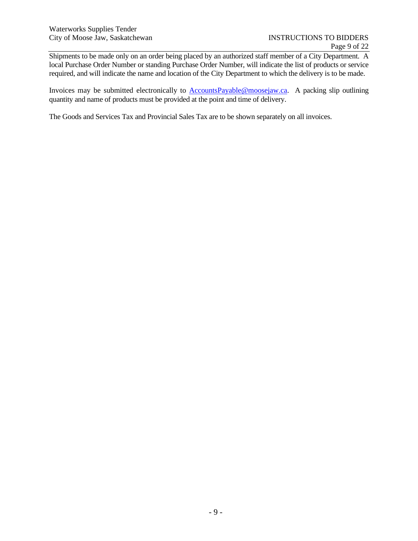Shipments to be made only on an order being placed by an authorized staff member of a City Department. A local Purchase Order Number or standing Purchase Order Number, will indicate the list of products or service required, and will indicate the name and location of the City Department to which the delivery is to be made.

Invoices may be submitted electronically to **AccountsPayable@moosejaw.ca**. A packing slip outlining quantity and name of products must be provided at the point and time of delivery.

The Goods and Services Tax and Provincial Sales Tax are to be shown separately on all invoices.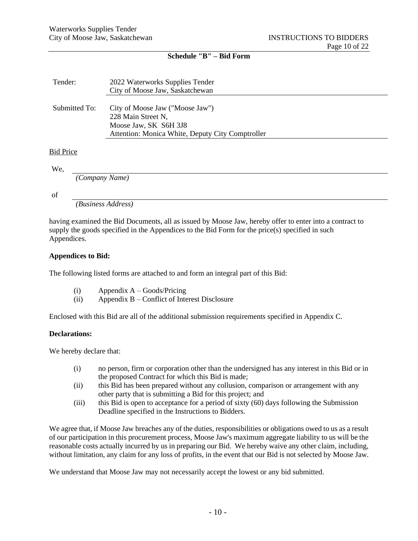## **Schedule "B" – Bid Form**

| Tender:          | 2022 Waterworks Supplies Tender<br>City of Moose Jaw, Saskatchewan                                                                 |
|------------------|------------------------------------------------------------------------------------------------------------------------------------|
| Submitted To:    | City of Moose Jaw ("Moose Jaw")<br>228 Main Street N,<br>Moose Jaw, SK S6H 3J8<br>Attention: Monica White, Deputy City Comptroller |
| <b>Bid Price</b> |                                                                                                                                    |

We,

*(Company Name)*

of

*(Business Address)*

having examined the Bid Documents, all as issued by Moose Jaw, hereby offer to enter into a contract to supply the goods specified in the Appendices to the Bid Form for the price(s) specified in such Appendices.

### **Appendices to Bid:**

The following listed forms are attached to and form an integral part of this Bid:

- (i) Appendix A Goods/Pricing
- (ii) Appendix B Conflict of Interest Disclosure

Enclosed with this Bid are all of the additional submission requirements specified in Appendix C.

#### **Declarations:**

We hereby declare that:

- (i) no person, firm or corporation other than the undersigned has any interest in this Bid or in the proposed Contract for which this Bid is made;
- (ii) this Bid has been prepared without any collusion, comparison or arrangement with any other party that is submitting a Bid for this project; and
- (iii) this Bid is open to acceptance for a period of sixty (60) days following the Submission Deadline specified in the Instructions to Bidders.

We agree that, if Moose Jaw breaches any of the duties, responsibilities or obligations owed to us as a result of our participation in this procurement process, Moose Jaw's maximum aggregate liability to us will be the reasonable costs actually incurred by us in preparing our Bid. We hereby waive any other claim, including, without limitation, any claim for any loss of profits, in the event that our Bid is not selected by Moose Jaw.

We understand that Moose Jaw may not necessarily accept the lowest or any bid submitted.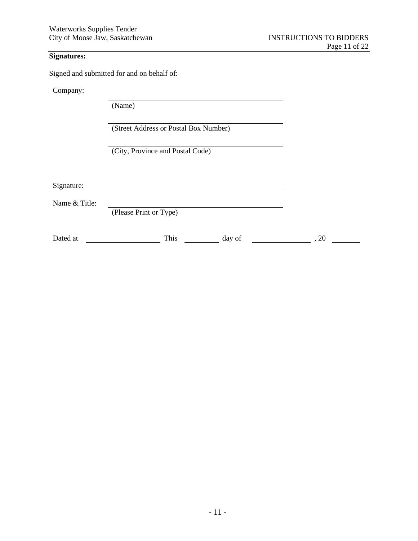## **Signatures:**

Signed and submitted for and on behalf of:

Company:

(Name)

(Street Address or Postal Box Number)

(City, Province and Postal Code)

Signature:

Name & Title:

(Please Print or Type)

Dated at  $\frac{1}{\sqrt{2\pi}}$  This  $\frac{1}{\sqrt{2\pi}}$  day of  $\frac{1}{\sqrt{2\pi}}$ , 20  $\frac{1}{\sqrt{2\pi}}$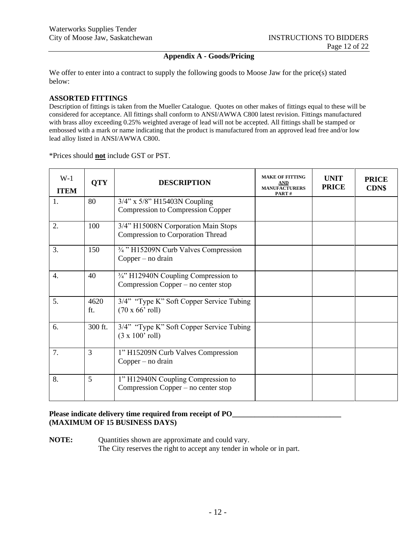## **Appendix A - Goods/Pricing**

We offer to enter into a contract to supply the following goods to Moose Jaw for the price(s) stated below:

#### **ASSORTED FITTINGS**

Description of fittings is taken from the Mueller Catalogue. Quotes on other makes of fittings equal to these will be considered for acceptance. All fittings shall conform to ANSI/AWWA C800 latest revision. Fittings manufactured with brass alloy exceeding 0.25% weighted average of lead will not be accepted. All fittings shall be stamped or embossed with a mark or name indicating that the product is manufactured from an approved lead free and/or low lead alloy listed in ANSI/AWWA C800.

\*Prices should **not** include GST or PST.

| $W-1$<br><b>ITEM</b> | <b>QTY</b>  | <b>DESCRIPTION</b>                                                             | <b>MAKE OF FITTING</b><br>AND<br><b>MANUFACTURERS</b><br>PART# | <b>UNIT</b><br><b>PRICE</b> | <b>PRICE</b><br><b>CDN\$</b> |
|----------------------|-------------|--------------------------------------------------------------------------------|----------------------------------------------------------------|-----------------------------|------------------------------|
| 1.                   | 80          | $3/4$ " x $5/8$ " H15403N Coupling<br><b>Compression to Compression Copper</b> |                                                                |                             |                              |
| 2.                   | 100         | 3/4" H15008N Corporation Main Stops<br>Compression to Corporation Thread       |                                                                |                             |                              |
| 3.                   | 150         | 3/4" H15209N Curb Valves Compression<br>$Copper - no drain$                    |                                                                |                             |                              |
| 4.                   | 40          | 3/4" H12940N Coupling Compression to<br>Compression Copper – no center stop    |                                                                |                             |                              |
| 5.                   | 4620<br>ft. | 3/4" "Type K" Soft Copper Service Tubing<br>$(70 \times 66'$ roll)             |                                                                |                             |                              |
| 6.                   | 300 ft.     | 3/4" "Type K" Soft Copper Service Tubing<br>$(3 \times 100'$ roll)             |                                                                |                             |                              |
| 7.                   | 3           | 1" H15209N Curb Valves Compression<br>$Copper - no drain$                      |                                                                |                             |                              |
| 8.                   | 5           | 1" H12940N Coupling Compression to<br>Compression Copper – no center stop      |                                                                |                             |                              |

## **Please indicate delivery time required from receipt of PO\_\_\_\_\_\_\_\_\_\_\_\_\_\_\_\_\_\_\_\_\_\_\_\_\_\_\_\_\_ (MAXIMUM OF 15 BUSINESS DAYS)**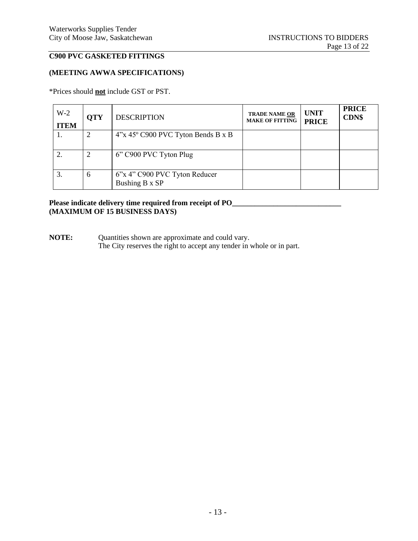# **C900 PVC GASKETED FITTINGS**

## **(MEETING AWWA SPECIFICATIONS)**

\*Prices should **not** include GST or PST.

| $W-2$<br><b>ITEM</b> | <b>OTY</b> | <b>DESCRIPTION</b>                              | <b>TRADE NAME OR</b><br><b>MAKE OF FITTING</b> | <b>UNIT</b><br><b>PRICE</b> | <b>PRICE</b><br><b>CDN\$</b> |
|----------------------|------------|-------------------------------------------------|------------------------------------------------|-----------------------------|------------------------------|
|                      |            | 4"x 45° C900 PVC Tyton Bends B x B              |                                                |                             |                              |
|                      | 2          | 6" C900 PVC Tyton Plug                          |                                                |                             |                              |
| 3.                   | 6          | 6"x 4" C900 PVC Tyton Reducer<br>Bushing B x SP |                                                |                             |                              |

## **Please indicate delivery time required from receipt of PO\_\_\_\_\_\_\_\_\_\_\_\_\_\_\_\_\_\_\_\_\_\_\_\_\_\_\_\_\_ (MAXIMUM OF 15 BUSINESS DAYS)**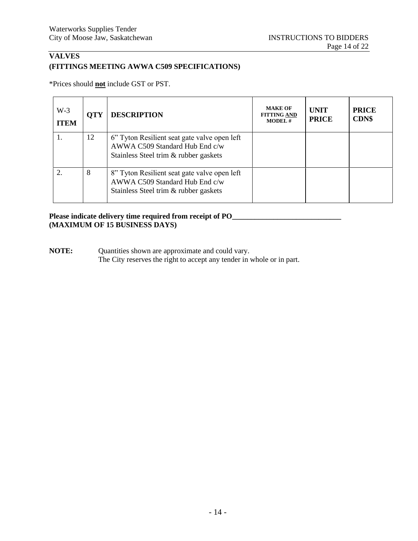# **VALVES (FITTINGS MEETING AWWA C509 SPECIFICATIONS)**

\*Prices should **not** include GST or PST.

| $W-3$<br><b>ITEM</b> | <b>OTY</b> | <b>DESCRIPTION</b>                                                                                                      | <b>MAKE OF</b><br><b>FITTING AND</b><br><b>MODEL#</b> | <b>UNIT</b><br><b>PRICE</b> | <b>PRICE</b><br><b>CDN\$</b> |
|----------------------|------------|-------------------------------------------------------------------------------------------------------------------------|-------------------------------------------------------|-----------------------------|------------------------------|
|                      | 12         | 6" Tyton Resilient seat gate valve open left<br>AWWA C509 Standard Hub End c/w<br>Stainless Steel trim & rubber gaskets |                                                       |                             |                              |
|                      | 8          | 8" Tyton Resilient seat gate valve open left<br>AWWA C509 Standard Hub End c/w<br>Stainless Steel trim & rubber gaskets |                                                       |                             |                              |

# Please indicate delivery time required from receipt of PO\_\_\_\_\_\_\_\_\_\_\_\_\_\_\_\_\_\_\_\_\_\_\_\_ **(MAXIMUM OF 15 BUSINESS DAYS)**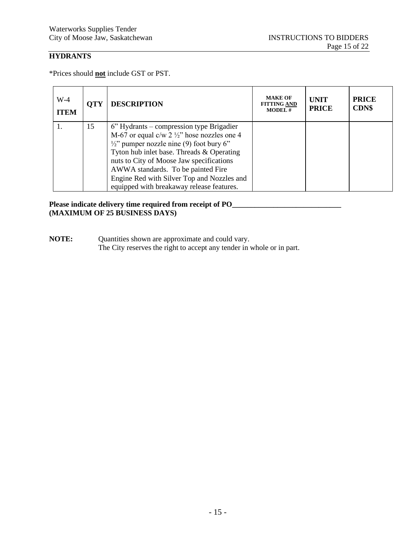# **HYDRANTS**

\*Prices should **not** include GST or PST.

| $W-4$<br><b>ITEM</b> | <b>OTY</b> | <b>DESCRIPTION</b>                                                                                                                                                                                                                                                                                                                                                                       | <b>MAKE OF</b><br><b>FITTING AND</b><br><b>MODEL#</b> | <b>UNIT</b><br><b>PRICE</b> | <b>PRICE</b><br><b>CDN\$</b> |
|----------------------|------------|------------------------------------------------------------------------------------------------------------------------------------------------------------------------------------------------------------------------------------------------------------------------------------------------------------------------------------------------------------------------------------------|-------------------------------------------------------|-----------------------------|------------------------------|
|                      | 15         | $6$ " Hydrants – compression type Brigadier<br>M-67 or equal $c/w$ 2 $\frac{1}{2}$ " hose nozzles one 4<br>$\frac{1}{2}$ " pumper nozzle nine (9) foot bury 6"<br>Tyton hub inlet base. Threads & Operating<br>nuts to City of Moose Jaw specifications<br>AWWA standards. To be painted Fire<br>Engine Red with Silver Top and Nozzles and<br>equipped with breakaway release features. |                                                       |                             |                              |

## Please indicate delivery time required from receipt of PO\_\_\_\_\_\_\_\_\_\_\_\_\_\_\_\_\_\_\_\_\_\_\_\_\_ **(MAXIMUM OF 25 BUSINESS DAYS)**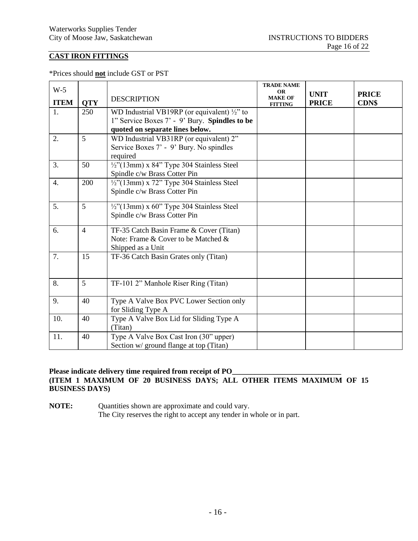# **CAST IRON FITTINGS**

\*Prices should **not** include GST or PST

| $W-5$       |                | <b>DESCRIPTION</b>                                      | <b>TRADE NAME</b><br><b>OR</b><br><b>MAKE OF</b> | <b>UNIT</b>  | <b>PRICE</b> |
|-------------|----------------|---------------------------------------------------------|--------------------------------------------------|--------------|--------------|
| <b>ITEM</b> | <b>QTY</b>     |                                                         | <b>FITTING</b>                                   | <b>PRICE</b> | <b>CDN\$</b> |
| 1.          | 250            | WD Industrial VB19RP (or equivalent) $\frac{1}{2}$ " to |                                                  |              |              |
|             |                | 1" Service Boxes 7' - 9' Bury. Spindles to be           |                                                  |              |              |
|             |                | quoted on separate lines below.                         |                                                  |              |              |
| 2.          | 5              | WD Industrial VB31RP (or equivalent) 2"                 |                                                  |              |              |
|             |                | Service Boxes 7' - 9' Bury. No spindles                 |                                                  |              |              |
|             |                | required                                                |                                                  |              |              |
| 3.          | 50             | $\frac{1}{2}$ "(13mm) x 84" Type 304 Stainless Steel    |                                                  |              |              |
|             |                | Spindle c/w Brass Cotter Pin                            |                                                  |              |              |
| 4.          | 200            | $\frac{1}{2}$ "(13mm) x 72" Type 304 Stainless Steel    |                                                  |              |              |
|             |                | Spindle c/w Brass Cotter Pin                            |                                                  |              |              |
| 5.          | 5              | $\frac{1}{2}$ "(13mm) x 60" Type 304 Stainless Steel    |                                                  |              |              |
|             |                | Spindle c/w Brass Cotter Pin                            |                                                  |              |              |
| 6.          | $\overline{4}$ | TF-35 Catch Basin Frame & Cover (Titan)                 |                                                  |              |              |
|             |                | Note: Frame & Cover to be Matched &                     |                                                  |              |              |
|             |                | Shipped as a Unit                                       |                                                  |              |              |
| 7.          | 15             | TF-36 Catch Basin Grates only (Titan)                   |                                                  |              |              |
|             |                |                                                         |                                                  |              |              |
| 8.          | 5              |                                                         |                                                  |              |              |
|             |                | TF-101 2" Manhole Riser Ring (Titan)                    |                                                  |              |              |
| 9.          | 40             | Type A Valve Box PVC Lower Section only                 |                                                  |              |              |
|             |                | for Sliding Type A                                      |                                                  |              |              |
| 10.         | 40             | Type A Valve Box Lid for Sliding Type A                 |                                                  |              |              |
|             |                | (Titan)                                                 |                                                  |              |              |
| 11.         | 40             | Type A Valve Box Cast Iron (30" upper)                  |                                                  |              |              |
|             |                | Section w/ ground flange at top (Titan)                 |                                                  |              |              |

## Please indicate delivery time required from receipt of PO\_ **(ITEM 1 MAXIMUM OF 20 BUSINESS DAYS; ALL OTHER ITEMS MAXIMUM OF 15 BUSINESS DAYS)**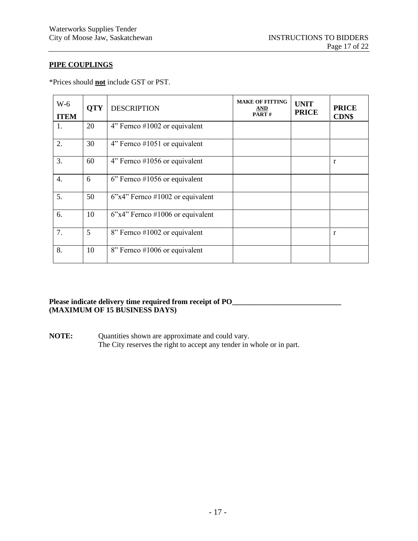# **PIPE COUPLINGS**

\*Prices should **not** include GST or PST.

| $W-6$<br><b>ITEM</b> | <b>QTY</b> | <b>DESCRIPTION</b>                 | <b>MAKE OF FITTING</b><br><b>AND</b><br>PART# | <b>UNIT</b><br><b>PRICE</b> | <b>PRICE</b><br>CDN\$ |
|----------------------|------------|------------------------------------|-----------------------------------------------|-----------------------------|-----------------------|
| 1.                   | 20         | $4$ " Fernco #1002 or equivalent   |                                               |                             |                       |
| 2.                   | 30         | $4$ " Fernco #1051 or equivalent   |                                               |                             |                       |
| 3.                   | 60         | 4" Fernco #1056 or equivalent      |                                               |                             | r                     |
| $\overline{4}$ .     | 6          | $6$ " Fernco #1056 or equivalent   |                                               |                             |                       |
| 5.                   | 50         | $6"x4"$ Fernco #1002 or equivalent |                                               |                             |                       |
| 6.                   | 10         | $6"x4"$ Fernco #1006 or equivalent |                                               |                             |                       |
| 7.                   | 5          | 8" Fernco #1002 or equivalent      |                                               |                             | r                     |
| 8.                   | 10         | 8" Fernco #1006 or equivalent      |                                               |                             |                       |

#### Please indicate delivery time required from receipt of PO\_\_\_\_\_\_\_\_\_\_\_\_\_\_\_\_\_\_\_\_\_\_\_\_\_\_\_\_\_\_ **(MAXIMUM OF 15 BUSINESS DAYS)**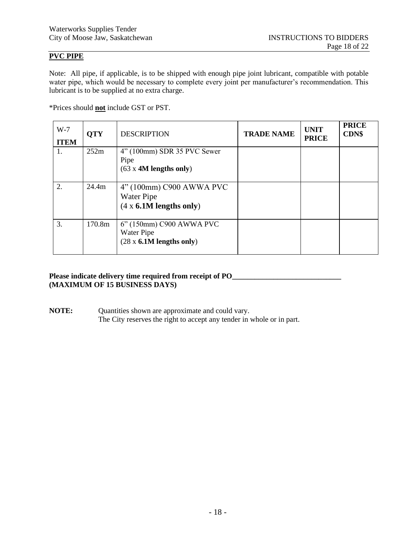# **PVC PIPE**

Note: All pipe, if applicable, is to be shipped with enough pipe joint lubricant, compatible with potable water pipe, which would be necessary to complete every joint per manufacturer's recommendation. This lubricant is to be supplied at no extra charge.

\*Prices should **not** include GST or PST.

| $W-7$<br><b>ITEM</b> | <b>OTY</b> | <b>DESCRIPTION</b>                                                        | <b>TRADE NAME</b> | <b>UNIT</b><br><b>PRICE</b> | <b>PRICE</b><br><b>CDN\$</b> |
|----------------------|------------|---------------------------------------------------------------------------|-------------------|-----------------------------|------------------------------|
| 1.                   | 252m       | $4$ " (100mm) SDR 35 PVC Sewer<br>Pipe<br>$(63 \times 4M)$ lengths only)  |                   |                             |                              |
| $\overline{2}$ .     | 24.4m      | 4" (100mm) C900 AWWA PVC<br>Water Pipe<br>$(4 \times 6.1M$ lengths only)  |                   |                             |                              |
| 3.                   | 170.8m     | 6" (150mm) C900 AWWA PVC<br>Water Pipe<br>$(28 \times 6.1M$ lengths only) |                   |                             |                              |

### Please indicate delivery time required from receipt of PO\_\_\_\_\_\_\_\_\_\_\_\_\_\_\_\_\_\_\_\_\_\_\_\_\_ **(MAXIMUM OF 15 BUSINESS DAYS)**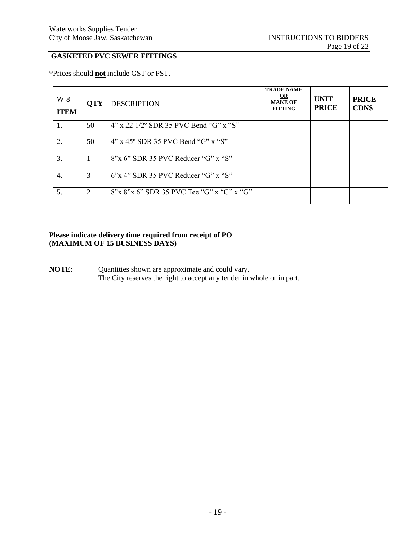# **GASKETED PVC SEWER FITTINGS**

\*Prices should **not** include GST or PST.

| $W-8$<br><b>ITEM</b> | <b>QTY</b> | <b>DESCRIPTION</b>                                 | <b>TRADE NAME</b><br>OR<br><b>MAKE OF</b><br><b>FITTING</b> | <b>UNIT</b><br><b>PRICE</b> | <b>PRICE</b><br><b>CDN\$</b> |
|----------------------|------------|----------------------------------------------------|-------------------------------------------------------------|-----------------------------|------------------------------|
|                      | 50         | $4"$ x 22 1/2 $^{\circ}$ SDR 35 PVC Bend "G" x "S" |                                                             |                             |                              |
| 2.                   | 50         | $4$ " x 45° SDR 35 PVC Bend "G" x "S"              |                                                             |                             |                              |
| 3.                   |            | 8"x 6" SDR 35 PVC Reducer "G" x "S"                |                                                             |                             |                              |
| 4.                   | 3          | $6$ "x 4" SDR 35 PVC Reducer "G" x "S"             |                                                             |                             |                              |
| 5.                   | 2          | $8''$ x $8''$ x 6" SDR 35 PVC Tee "G" x "G" x "G"  |                                                             |                             |                              |

## Please indicate delivery time required from receipt of PO\_\_\_\_\_\_\_\_\_\_\_\_\_\_\_\_\_\_\_\_\_\_\_\_\_ **(MAXIMUM OF 15 BUSINESS DAYS)**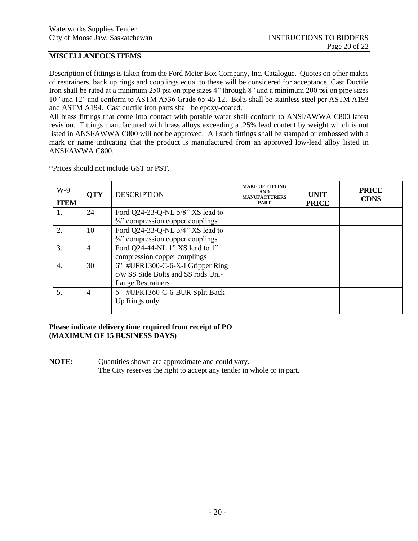## **MISCELLANEOUS ITEMS**

Description of fittings is taken from the Ford Meter Box Company, Inc. Catalogue. Quotes on other makes of restrainers, back up rings and couplings equal to these will be considered for acceptance. Cast Ductile Iron shall be rated at a minimum 250 psi on pipe sizes 4" through 8" and a minimum 200 psi on pipe sizes 10" and 12" and conform to ASTM A536 Grade 65-45-12. Bolts shall be stainless steel per ASTM A193 and ASTM A194. Cast ductile iron parts shall be epoxy-coated.

All brass fittings that come into contact with potable water shall conform to ANSI/AWWA C800 latest revision. Fittings manufactured with brass alloys exceeding a .25% lead content by weight which is not listed in ANSI/AWWA C800 will not be approved. All such fittings shall be stamped or embossed with a mark or name indicating that the product is manufactured from an approved low-lead alloy listed in ANSI/AWWA C800.

| $W-9$<br><b>ITEM</b> | <b>OTY</b>     | <b>DESCRIPTION</b>                           | <b>MAKE OF FITTING</b><br>AND<br><b>MANUFACTURERS</b><br><b>PART</b> | <b>UNIT</b><br><b>PRICE</b> | <b>PRICE</b><br><b>CDN\$</b> |
|----------------------|----------------|----------------------------------------------|----------------------------------------------------------------------|-----------------------------|------------------------------|
| 1.                   | 24             | Ford Q24-23-Q-NL 5/8" XS lead to             |                                                                      |                             |                              |
|                      |                | $\frac{3}{4}$ " compression copper couplings |                                                                      |                             |                              |
| 2.                   | 10             | Ford Q24-33-Q-NL 3/4" XS lead to             |                                                                      |                             |                              |
|                      |                | $\frac{3}{4}$ " compression copper couplings |                                                                      |                             |                              |
| 3.                   | $\overline{4}$ | Ford Q24-44-NL 1" XS lead to 1"              |                                                                      |                             |                              |
|                      |                | compression copper couplings                 |                                                                      |                             |                              |
| 4.                   | 30             | 6" #UFR1300-C-6-X-I Gripper Ring             |                                                                      |                             |                              |
|                      |                | c/w SS Side Bolts and SS rods Uni-           |                                                                      |                             |                              |
|                      |                | flange Restrainers                           |                                                                      |                             |                              |
| 5.                   | $\overline{4}$ | 6" #UFR1360-C-6-BUR Split Back               |                                                                      |                             |                              |
|                      |                | Up Rings only                                |                                                                      |                             |                              |
|                      |                |                                              |                                                                      |                             |                              |

\*Prices should not include GST or PST.

## Please indicate delivery time required from receipt of PO\_\_\_\_\_\_\_\_\_\_\_\_\_\_\_\_\_\_\_\_\_\_\_\_ **(MAXIMUM OF 15 BUSINESS DAYS)**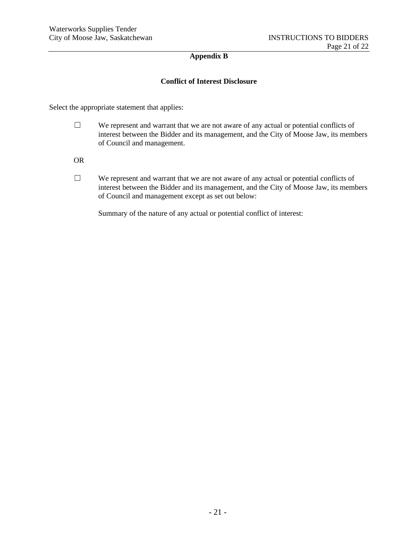## **Appendix B**

## **Conflict of Interest Disclosure**

Select the appropriate statement that applies:

- $\Box$  We represent and warrant that we are not aware of any actual or potential conflicts of interest between the Bidder and its management, and the City of Moose Jaw, its members of Council and management.
- OR
- $\Box$  We represent and warrant that we are not aware of any actual or potential conflicts of interest between the Bidder and its management, and the City of Moose Jaw, its members of Council and management except as set out below:

Summary of the nature of any actual or potential conflict of interest: